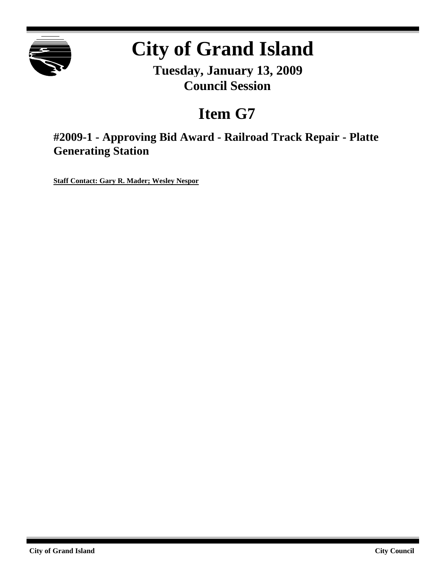

# **City of Grand Island**

**Tuesday, January 13, 2009 Council Session**

## **Item G7**

**#2009-1 - Approving Bid Award - Railroad Track Repair - Platte Generating Station**

**Staff Contact: Gary R. Mader; Wesley Nespor**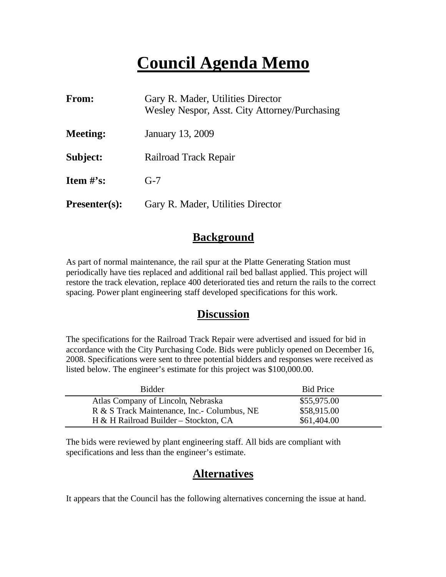## **Council Agenda Memo**

| From:                | Gary R. Mader, Utilities Director<br>Wesley Nespor, Asst. City Attorney/Purchasing |  |
|----------------------|------------------------------------------------------------------------------------|--|
| <b>Meeting:</b>      | January 13, 2009                                                                   |  |
| Subject:             | Railroad Track Repair                                                              |  |
| <b>Item</b> $\#$ 's: | $G-7$                                                                              |  |
| $Presenter(s):$      | Gary R. Mader, Utilities Director                                                  |  |

### **Background**

As part of normal maintenance, the rail spur at the Platte Generating Station must periodically have ties replaced and additional rail bed ballast applied. This project will restore the track elevation, replace 400 deteriorated ties and return the rails to the correct spacing. Power plant engineering staff developed specifications for this work.

### **Discussion**

The specifications for the Railroad Track Repair were advertised and issued for bid in accordance with the City Purchasing Code. Bids were publicly opened on December 16, 2008. Specifications were sent to three potential bidders and responses were received as listed below. The engineer's estimate for this project was \$100,000.00.

| <b>Bidder</b>                               | <b>Bid Price</b> |
|---------------------------------------------|------------------|
| Atlas Company of Lincoln, Nebraska          | \$55,975.00      |
| R & S Track Maintenance, Inc.- Columbus, NE | \$58,915.00      |
| H & H Railroad Builder – Stockton, CA       | \$61,404.00      |

The bids were reviewed by plant engineering staff. All bids are compliant with specifications and less than the engineer's estimate.

## **Alternatives**

It appears that the Council has the following alternatives concerning the issue at hand.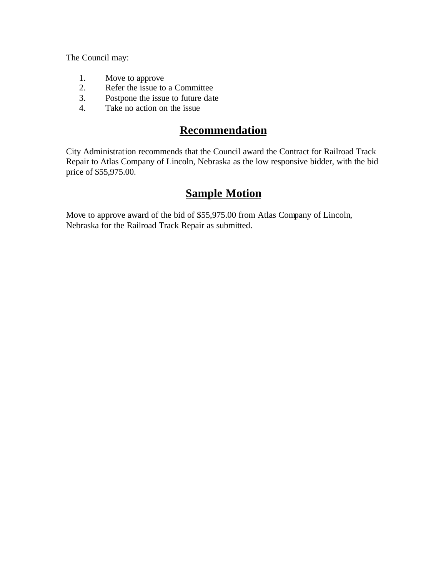The Council may:

- 1. Move to approve
- 2. Refer the issue to a Committee
- 3. Postpone the issue to future date
- 4. Take no action on the issue

## **Recommendation**

City Administration recommends that the Council award the Contract for Railroad Track Repair to Atlas Company of Lincoln, Nebraska as the low responsive bidder, with the bid price of \$55,975.00.

## **Sample Motion**

Move to approve award of the bid of \$55,975.00 from Atlas Company of Lincoln, Nebraska for the Railroad Track Repair as submitted.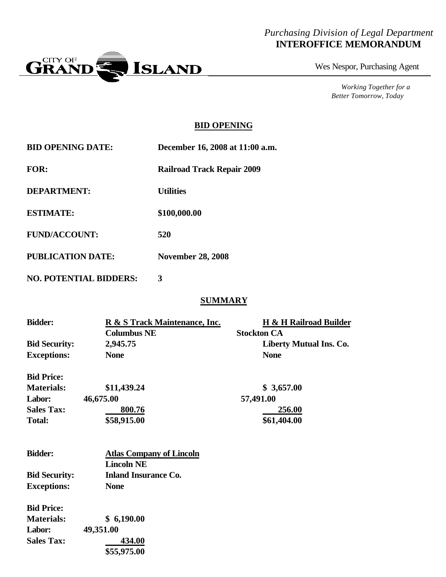#### *Purchasing Division of Legal Department* **INTEROFFICE MEMORANDUM**



Wes Nespor, Purchasing Agent

*Working Together for a Better Tomorrow, Today*

#### **BID OPENING**

| <b>BID OPENING DATE:</b> | December 16, 2008 at 11:00 a.m.   |
|--------------------------|-----------------------------------|
| <b>FOR:</b>              | <b>Railroad Track Repair 2009</b> |
| <b>DEPARTMENT:</b>       | <b>Utilities</b>                  |
| <b>ESTIMATE:</b>         | \$100,000.00                      |
| <b>FUND/ACCOUNT:</b>     | 520                               |
| <b>PUBLICATION DATE:</b> | <b>November 28, 2008</b>          |

**NO. POTENTIAL BIDDERS: 3**

#### **SUMMARY**

| <b>Bidder:</b>       | R & S Track Maintenance, Inc.   | H & H Railroad Builder         |
|----------------------|---------------------------------|--------------------------------|
|                      | <b>Columbus NE</b>              | <b>Stockton CA</b>             |
| <b>Bid Security:</b> | 2,945.75                        | <b>Liberty Mutual Ins. Co.</b> |
| <b>Exceptions:</b>   | <b>None</b>                     | <b>None</b>                    |
| <b>Bid Price:</b>    |                                 |                                |
| <b>Materials:</b>    | \$11,439.24                     | \$3,657.00                     |
| Labor:               | 46,675.00                       | 57,491.00                      |
| <b>Sales Tax:</b>    | 800.76                          | 256.00                         |
| <b>Total:</b>        | \$58,915.00                     | \$61,404.00                    |
| <b>Bidder:</b>       | <b>Atlas Company of Lincoln</b> |                                |
|                      | <b>Lincoln NE</b>               |                                |
| <b>Bid Security:</b> | <b>Inland Insurance Co.</b>     |                                |
| <b>Exceptions:</b>   | <b>None</b>                     |                                |
|                      |                                 |                                |
| <b>Bid Price:</b>    |                                 |                                |
| <b>Materials:</b>    | \$6,190.00                      |                                |
| Labor:               | 49,351.00                       |                                |
| <b>Sales Tax:</b>    | 434.00                          |                                |
|                      | \$55,975.00                     |                                |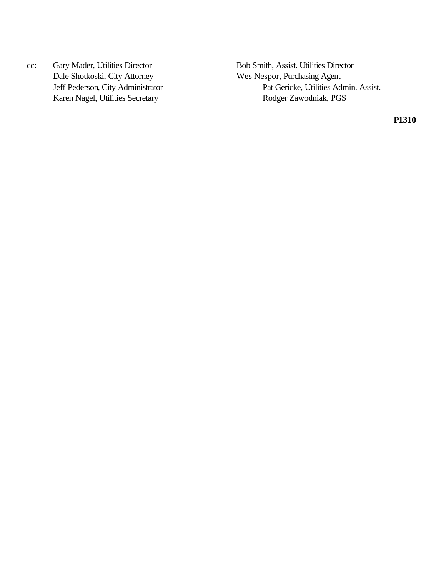Dale Shotkoski, City Attorney Wes Nespor, Purchasing Agent Karen Nagel, Utilities Secretary Rodger Zawodniak, PGS

cc: Gary Mader, Utilities Director Bob Smith, Assist. Utilities Director Jeff Pederson, City Administrator Pat Gericke, Utilities Admin. Assist.

**P1310**